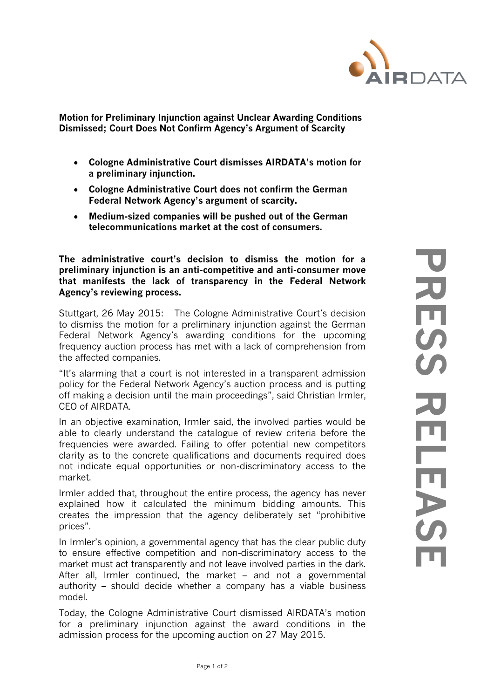

**[Motion for Preliminary Injunction against Unclear Awarding Conditions](http://www.airdata.ag/klagen-gegen-frequenzversteigerung-in-erster-instanz-abgewiesen/)  [Dismissed;](http://www.airdata.ag/klagen-gegen-frequenzversteigerung-in-erster-instanz-abgewiesen/) Court Does Not Confirm Agency's Argument of Scarcity**

- **Cologne Administrative Court dismisses AIRDATA's motion for a preliminary injunction.**
- **Cologne Administrative Court does not confirm the German Federal Network Agency's argument of scarcity.**
- **Medium-sized companies will be pushed out of the German telecommunications market at the cost of consumers.**

**The administrative court's decision to dismiss the motion for a preliminary injunction is an anti-competitive and anti-consumer move that manifests the lack of transparency in the Federal Network Agency's reviewing process.**

Stuttgart, 26 May 2015: The Cologne Administrative Court's decision to dismiss the motion for a preliminary injunction against the German Federal Network Agency's awarding conditions for the upcoming frequency auction process has met with a lack of comprehension from the affected companies.

"It's alarming that a court is not interested in a transparent admission policy for the Federal Network Agency's auction process and is putting off making a decision until the main proceedings", said Christian Irmler, CEO of AIRDATA.

In an objective examination, Irmler said, the involved parties would be able to clearly understand the catalogue of review criteria before the frequencies were awarded. Failing to offer potential new competitors clarity as to the concrete qualifications and documents required does not indicate equal opportunities or non-discriminatory access to the market.

Irmler added that, throughout the entire process, the agency has never explained how it calculated the minimum bidding amounts. This creates the impression that the agency deliberately set "prohibitive prices".

In Irmler's opinion, a governmental agency that has the clear public duty to ensure effective competition and non-discriminatory access to the market must act transparently and not leave involved parties in the dark. After all, Irmler continued, the market – and not a governmental authority – should decide whether a company has a viable business model.

Today, the Cologne Administrative Court dismissed AIRDATA's motion for a preliminary injunction against the award conditions in the admission process for the upcoming auction on 27 May 2015.